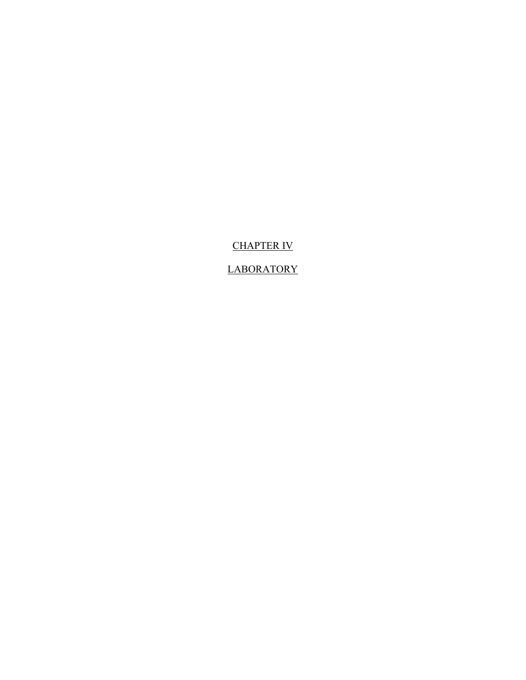CHAPTER IV

LABORATORY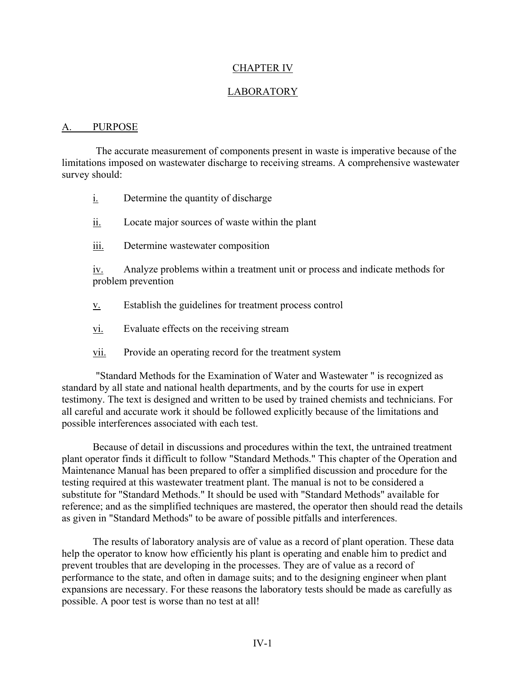#### CHAPTER IV

#### LABORATORY

#### A. PURPOSE

The accurate measurement of components present in waste is imperative because of the limitations imposed on wastewater discharge to receiving streams. A comprehensive wastewater survey should:

- i. Determine the quantity of discharge
- $i$  Locate major sources of waste within the plant
- iii. Determine wastewater composition

iv. Analyze problems within a treatment unit or process and indicate methods for problem prevention

- v. Establish the guidelines for treatment process control
- vi. Evaluate effects on the receiving stream
- vii. Provide an operating record for the treatment system

"Standard Methods for the Examination of Water and Wastewater " is recognized as standard by all state and national health departments, and by the courts for use in expert testimony. The text is designed and written to be used by trained chemists and technicians. For all careful and accurate work it should be followed explicitly because of the limitations and possible interferences associated with each test.

Because of detail in discussions and procedures within the text, the untrained treatment plant operator finds it difficult to follow "Standard Methods." This chapter of the Operation and Maintenance Manual has been prepared to offer a simplified discussion and procedure for the testing required at this wastewater treatment plant. The manual is not to be considered a substitute for "Standard Methods." It should be used with "Standard Methods" available for reference; and as the simplified techniques are mastered, the operator then should read the details as given in "Standard Methods" to be aware of possible pitfalls and interferences.

The results of laboratory analysis are of value as a record of plant operation. These data help the operator to know how efficiently his plant is operating and enable him to predict and prevent troubles that are developing in the processes. They are of value as a record of performance to the state, and often in damage suits; and to the designing engineer when plant expansions are necessary. For these reasons the laboratory tests should be made as carefully as possible. A poor test is worse than no test at all!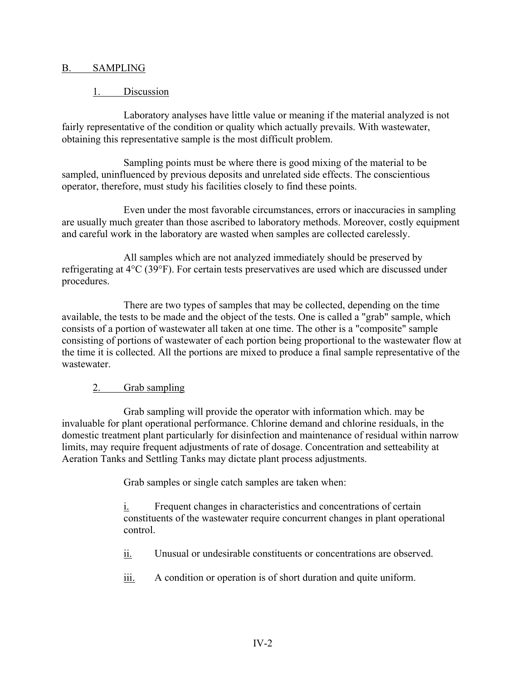#### B. SAMPLING

#### 1. Discussion

Laboratory analyses have little value or meaning if the material analyzed is not fairly representative of the condition or quality which actually prevails. With wastewater, obtaining this representative sample is the most difficult problem.

Sampling points must be where there is good mixing of the material to be sampled, uninfluenced by previous deposits and unrelated side effects. The conscientious operator, therefore, must study his facilities closely to find these points.

Even under the most favorable circumstances, errors or inaccuracies in sampling are usually much greater than those ascribed to laboratory methods. Moreover, costly equipment and careful work in the laboratory are wasted when samples are collected carelessly.

All samples which are not analyzed immediately should be preserved by refrigerating at 4°C (39°F). For certain tests preservatives are used which are discussed under procedures.

There are two types of samples that may be collected, depending on the time available, the tests to be made and the object of the tests. One is called a "grab" sample, which consists of a portion of wastewater all taken at one time. The other is a "composite" sample consisting of portions of wastewater of each portion being proportional to the wastewater flow at the time it is collected. All the portions are mixed to produce a final sample representative of the wastewater.

### 2. Grab sampling

Grab sampling will provide the operator with information which. may be invaluable for plant operational performance. Chlorine demand and chlorine residuals, in the domestic treatment plant particularly for disinfection and maintenance of residual within narrow limits, may require frequent adjustments of rate of dosage. Concentration and setteability at Aeration Tanks and Settling Tanks may dictate plant process adjustments.

Grab samples or single catch samples are taken when:

i. Frequent changes in characteristics and concentrations of certain constituents of the wastewater require concurrent changes in plant operational control.

ii. Unusual or undesirable constituents or concentrations are observed.

iii. A condition or operation is of short duration and quite uniform.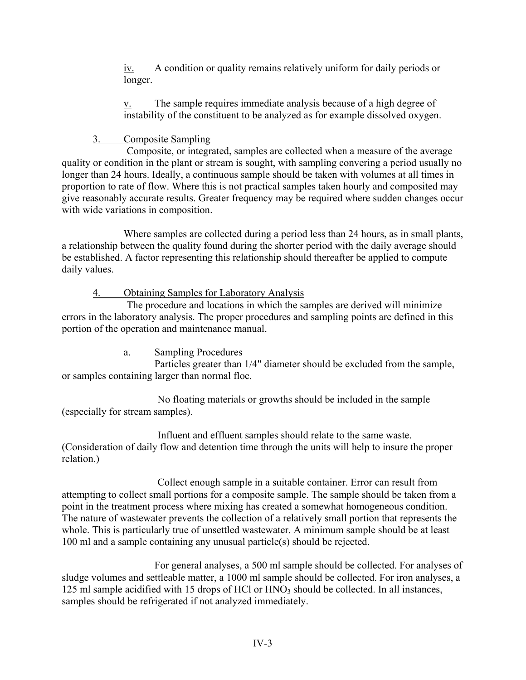iv. A condition or quality remains relatively uniform for daily periods or longer.

v. The sample requires immediate analysis because of a high degree of instability of the constituent to be analyzed as for example dissolved oxygen.

## 3. Composite Sampling

Composite, or integrated, samples are collected when a measure of the average quality or condition in the plant or stream is sought, with sampling convering a period usually no longer than 24 hours. Ideally, a continuous sample should be taken with volumes at all times in proportion to rate of flow. Where this is not practical samples taken hourly and composited may give reasonably accurate results. Greater frequency may be required where sudden changes occur with wide variations in composition.

Where samples are collected during a period less than 24 hours, as in small plants, a relationship between the quality found during the shorter period with the daily average should be established. A factor representing this relationship should thereafter be applied to compute daily values.

## 4. Obtaining Samples for Laboratory Analysis

The procedure and locations in which the samples are derived will minimize errors in the laboratory analysis. The proper procedures and sampling points are defined in this portion of the operation and maintenance manual.

a. Sampling Procedures

Particles greater than 1/4" diameter should be excluded from the sample, or samples containing larger than normal floc.

No floating materials or growths should be included in the sample (especially for stream samples).

Influent and effluent samples should relate to the same waste. (Consideration of daily flow and detention time through the units will help to insure the proper relation.)

Collect enough sample in a suitable container. Error can result from attempting to collect small portions for a composite sample. The sample should be taken from a point in the treatment process where mixing has created a somewhat homogeneous condition. The nature of wastewater prevents the collection of a relatively small portion that represents the whole. This is particularly true of unsettled wastewater. A minimum sample should be at least 100 ml and a sample containing any unusual particle(s) should be rejected.

For general analyses, a 500 ml sample should be collected. For analyses of sludge volumes and settleable matter, a 1000 ml sample should be collected. For iron analyses, a 125 ml sample acidified with 15 drops of HCl or HNO<sub>3</sub> should be collected. In all instances, samples should be refrigerated if not analyzed immediately.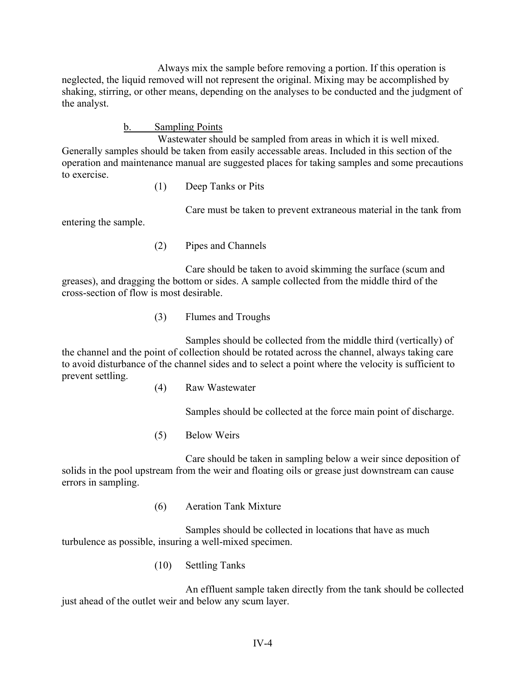Always mix the sample before removing a portion. If this operation is neglected, the liquid removed will not represent the original. Mixing may be accomplished by shaking, stirring, or other means, depending on the analyses to be conducted and the judgment of the analyst.

### b. Sampling Points

Wastewater should be sampled from areas in which it is well mixed. Generally samples should be taken from easily accessable areas. Included in this section of the operation and maintenance manual are suggested places for taking samples and some precautions to exercise.

(1) Deep Tanks or Pits

Care must be taken to prevent extraneous material in the tank from

entering the sample.

(2) Pipes and Channels

Care should be taken to avoid skimming the surface (scum and greases), and dragging the bottom or sides. A sample collected from the middle third of the cross-section of flow is most desirable.

(3) Flumes and Troughs

Samples should be collected from the middle third (vertically) of the channel and the point of collection should be rotated across the channel, always taking care to avoid disturbance of the channel sides and to select a point where the velocity is sufficient to prevent settling.

(4) Raw Wastewater

Samples should be collected at the force main point of discharge.

(5) Below Weirs

Care should be taken in sampling below a weir since deposition of solids in the pool upstream from the weir and floating oils or grease just downstream can cause errors in sampling.

(6) Aeration Tank Mixture

Samples should be collected in locations that have as much turbulence as possible, insuring a well-mixed specimen.

(10) Settling Tanks

An effluent sample taken directly from the tank should be collected just ahead of the outlet weir and below any scum layer.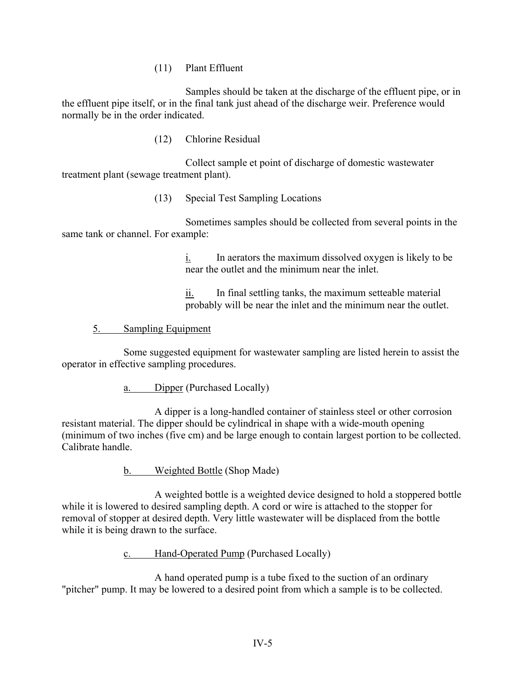(11) Plant Effluent

Samples should be taken at the discharge of the effluent pipe, or in the effluent pipe itself, or in the final tank just ahead of the discharge weir. Preference would normally be in the order indicated.

(12) Chlorine Residual

Collect sample et point of discharge of domestic wastewater treatment plant (sewage treatment plant).

(13) Special Test Sampling Locations

Sometimes samples should be collected from several points in the same tank or channel. For example:

> i. In aerators the maximum dissolved oxygen is likely to be near the outlet and the minimum near the inlet.

ii. In final settling tanks, the maximum setteable material probably will be near the inlet and the minimum near the outlet.

5. Sampling Equipment

Some suggested equipment for wastewater sampling are listed herein to assist the operator in effective sampling procedures.

a. Dipper (Purchased Locally)

A dipper is a long-handled container of stainless steel or other corrosion resistant material. The dipper should be cylindrical in shape with a wide-mouth opening (minimum of two inches (five cm) and be large enough to contain largest portion to be collected. Calibrate handle.

b. Weighted Bottle (Shop Made)

A weighted bottle is a weighted device designed to hold a stoppered bottle while it is lowered to desired sampling depth. A cord or wire is attached to the stopper for removal of stopper at desired depth. Very little wastewater will be displaced from the bottle while it is being drawn to the surface.

c. Hand-Operated Pump (Purchased Locally)

A hand operated pump is a tube fixed to the suction of an ordinary "pitcher" pump. It may be lowered to a desired point from which a sample is to be collected.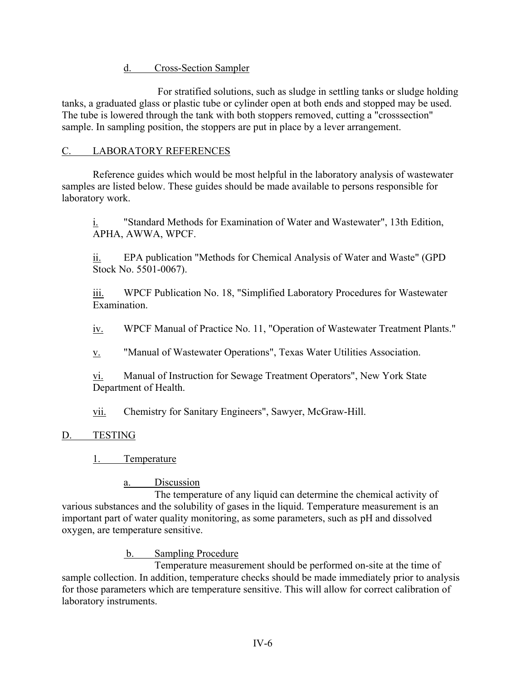d. Cross-Section Sampler

For stratified solutions, such as sludge in settling tanks or sludge holding tanks, a graduated glass or plastic tube or cylinder open at both ends and stopped may be used. The tube is lowered through the tank with both stoppers removed, cutting a "crosssection" sample. In sampling position, the stoppers are put in place by a lever arrangement.

### C. LABORATORY REFERENCES

Reference guides which would be most helpful in the laboratory analysis of wastewater samples are listed below. These guides should be made available to persons responsible for laboratory work.

i. "Standard Methods for Examination of Water and Wastewater", 13th Edition, APHA, AWWA, WPCF.

ii. EPA publication "Methods for Chemical Analysis of Water and Waste" (GPD Stock No. 5501-0067).

iii. WPCF Publication No. 18, "Simplified Laboratory Procedures for Wastewater Examination.

iv. WPCF Manual of Practice No. 11, "Operation of Wastewater Treatment Plants."

v. "Manual of Wastewater Operations", Texas Water Utilities Association.

vi. Manual of Instruction for Sewage Treatment Operators", New York State Department of Health.

vii. Chemistry for Sanitary Engineers", Sawyer, McGraw-Hill.

## D. TESTING

1. Temperature

a. Discussion

The temperature of any liquid can determine the chemical activity of various substances and the solubility of gases in the liquid. Temperature measurement is an important part of water quality monitoring, as some parameters, such as pH and dissolved oxygen, are temperature sensitive.

b. Sampling Procedure

Temperature measurement should be performed on-site at the time of sample collection. In addition, temperature checks should be made immediately prior to analysis for those parameters which are temperature sensitive. This will allow for correct calibration of laboratory instruments.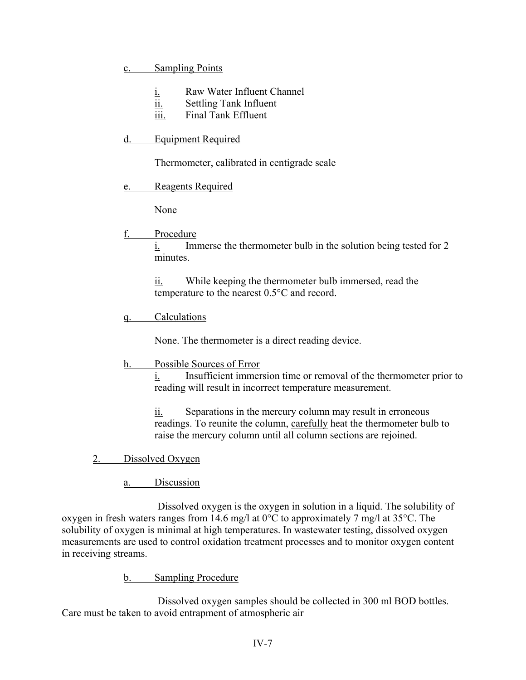c. Sampling Points

- i. Raw Water Influent Channel
- ii. Settling Tank Influent
- iii. Final Tank Effluent
- d. Equipment Required

Thermometer, calibrated in centigrade scale

e. Reagents Required

None

f. Procedure

i. Immerse the thermometer bulb in the solution being tested for 2 minutes.

 $i$  While keeping the thermometer bulb immersed, read the temperature to the nearest 0.5°C and record.

q. Calculations

None. The thermometer is a direct reading device.

h. Possible Sources of Error

 $i$ . Insufficient immersion time or removal of the thermometer prior to reading will result in incorrect temperature measurement.

ii. Separations in the mercury column may result in erroneous readings. To reunite the column, carefully heat the thermometer bulb to raise the mercury column until all column sections are rejoined.

2. Dissolved Oxygen

a. Discussion

Dissolved oxygen is the oxygen in solution in a liquid. The solubility of oxygen in fresh waters ranges from 14.6 mg/l at 0°C to approximately 7 mg/l at 35°C. The solubility of oxygen is minimal at high temperatures. In wastewater testing, dissolved oxygen measurements are used to control oxidation treatment processes and to monitor oxygen content in receiving streams.

## b. Sampling Procedure

Dissolved oxygen samples should be collected in 300 ml BOD bottles. Care must be taken to avoid entrapment of atmospheric air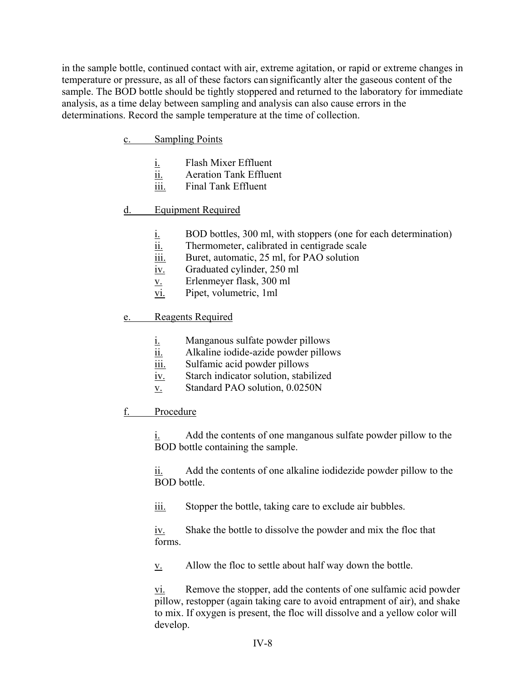in the sample bottle, continued contact with air, extreme agitation, or rapid or extreme changes in temperature or pressure, as all of these factors can significantly alter the gaseous content of the sample. The BOD bottle should be tightly stoppered and returned to the laboratory for immediate analysis, as a time delay between sampling and analysis can also cause errors in the determinations. Record the sample temperature at the time of collection.

- c. Sampling Points
	- i. Flash Mixer Effluent
	- ii. Aeration Tank Effluent
	- iii. Final Tank Effluent
- d. Equipment Required
	- $i$ . BOD bottles, 300 ml, with stoppers (one for each determination)
	- ii. Thermometer, calibrated in centigrade scale
	- iii. Buret, automatic, 25 ml, for PAO solution
	- iv. Graduated cylinder, 250 ml
	- v. Erlenmeyer flask, 300 ml
	- vi. Pipet, volumetric, 1ml
- e. Reagents Required
	- i. Manganous sulfate powder pillows
	- $\overline{\overline{\mathbf{i}}}$  Alkaline iodide-azide powder pillows
	- iii. Sulfamic acid powder pillows
	- iv. Starch indicator solution, stabilized
	- v. Standard PAO solution, 0.0250N

#### f. Procedure

Add the contents of one manganous sulfate powder pillow to the BOD bottle containing the sample.

ii. Add the contents of one alkaline iodidezide powder pillow to the BOD bottle.

iii. Stopper the bottle, taking care to exclude air bubbles.

iv. Shake the bottle to dissolve the powder and mix the floc that forms.

v. Allow the floc to settle about half way down the bottle.

vi. Remove the stopper, add the contents of one sulfamic acid powder pillow, restopper (again taking care to avoid entrapment of air), and shake to mix. If oxygen is present, the floc will dissolve and a yellow color will develop.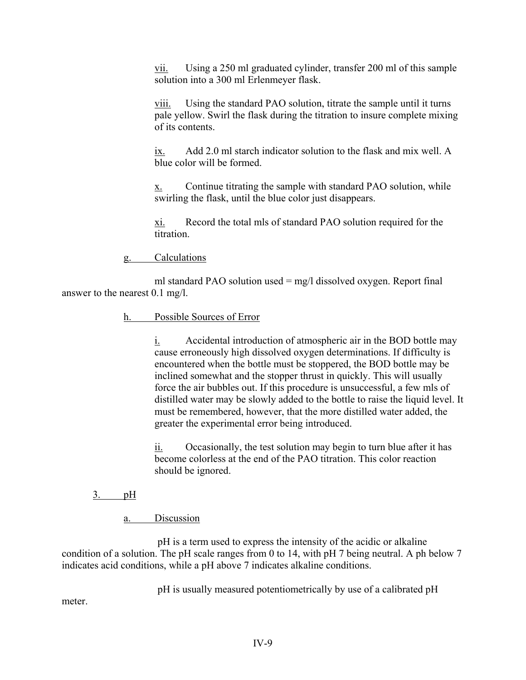vii. Using a 250 ml graduated cylinder, transfer 200 ml of this sample solution into a 300 ml Erlenmeyer flask.

viii. Using the standard PAO solution, titrate the sample until it turns pale yellow. Swirl the flask during the titration to insure complete mixing of its contents.

ix. Add 2.0 ml starch indicator solution to the flask and mix well. A blue color will be formed.

 $x<sub>l</sub>$  Continue titrating the sample with standard PAO solution, while swirling the flask, until the blue color just disappears.

xi. Record the total mls of standard PAO solution required for the titration.

g. Calculations

ml standard PAO solution used  $=$  mg/l dissolved oxygen. Report final answer to the nearest 0.1 mg/l.

h. Possible Sources of Error

i. Accidental introduction of atmospheric air in the BOD bottle may cause erroneously high dissolved oxygen determinations. If difficulty is encountered when the bottle must be stoppered, the BOD bottle may be inclined somewhat and the stopper thrust in quickly. This will usually force the air bubbles out. If this procedure is unsuccessful, a few mls of distilled water may be slowly added to the bottle to raise the liquid level. It must be remembered, however, that the more distilled water added, the greater the experimental error being introduced.

ii. Occasionally, the test solution may begin to turn blue after it has become colorless at the end of the PAO titration. This color reaction should be ignored.

 $3.$  pH

a. Discussion

pH is a term used to express the intensity of the acidic or alkaline condition of a solution. The pH scale ranges from 0 to 14, with pH 7 being neutral. A ph below 7 indicates acid conditions, while a pH above 7 indicates alkaline conditions.

pH is usually measured potentiometrically by use of a calibrated pH

meter.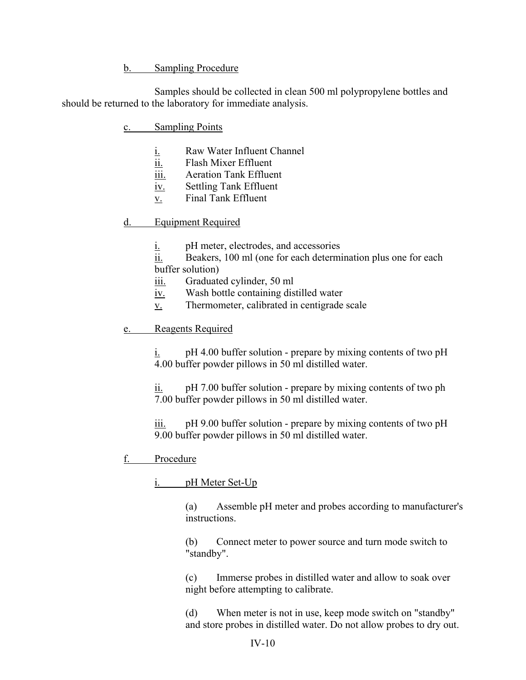b. Sampling Procedure

Samples should be collected in clean 500 ml polypropylene bottles and should be returned to the laboratory for immediate analysis.

c. Sampling Points

- i. Raw Water Influent Channel
- ii. Flash Mixer Effluent<br>iii. Aeration Tank Effluen
- Aeration Tank Effluent
- iv. Settling Tank Effluent
- v. Final Tank Effluent
- d. Equipment Required
	- i. pH meter, electrodes, and accessories
	- ii. Beakers, 100 ml (one for each determination plus one for each buffer solution)
	- iii. Graduated cylinder, 50 ml
	- iv. Wash bottle containing distilled water
	- v. Thermometer, calibrated in centigrade scale
- e. Reagents Required

i. pH 4.00 buffer solution - prepare by mixing contents of two pH 4.00 buffer powder pillows in 50 ml distilled water.

ii. pH 7.00 buffer solution - prepare by mixing contents of two ph 7.00 buffer powder pillows in 50 ml distilled water.

 $\frac{\text{iii.}}{\text{iii.}}$  pH 9.00 buffer solution - prepare by mixing contents of two pH 9.00 buffer powder pillows in 50 ml distilled water.

f. Procedure

i. pH Meter Set-Up

(a) Assemble pH meter and probes according to manufacturer's instructions.

(b) Connect meter to power source and turn mode switch to "standby".

(c) Immerse probes in distilled water and allow to soak over night before attempting to calibrate.

(d) When meter is not in use, keep mode switch on "standby" and store probes in distilled water. Do not allow probes to dry out.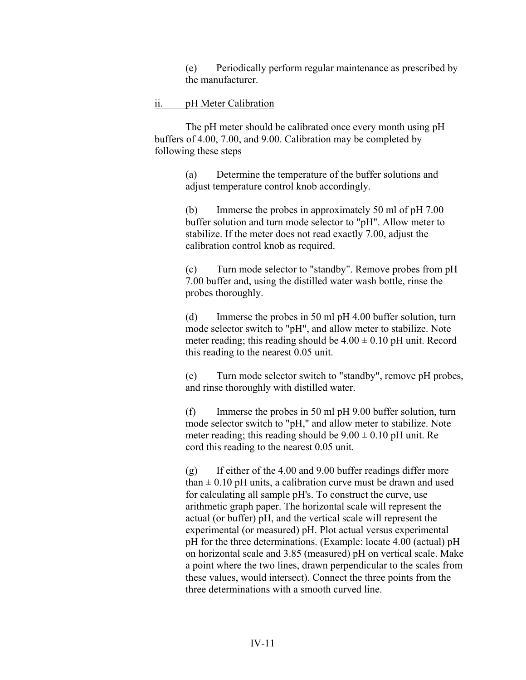(e) Periodically perform regular maintenance as prescribed by the manufacturer.

#### ii. pH Meter Calibration

The pH meter should be calibrated once every month using pH buffers of 4.00, 7.00, and 9.00. Calibration may be completed by following these steps

> (a) Determine the temperature of the buffer solutions and adjust temperature control knob accordingly.

(b) Immerse the probes in approximately 50 ml of pH 7.00 buffer solution and turn mode selector to "pH". Allow meter to stabilize. If the meter does not read exactly 7.00, adjust the calibration control knob as required.

(c) Turn mode selector to "standby". Remove probes from pH 7.00 buffer and, using the distilled water wash bottle, rinse the probes thoroughly.

(d) Immerse the probes in 50 ml pH 4.00 buffer solution, turn mode selector switch to "pH", and allow meter to stabilize. Note meter reading; this reading should be  $4.00 \pm 0.10$  pH unit. Record this reading to the nearest 0.05 unit.

(e) Turn mode selector switch to "standby", remove pH probes, and rinse thoroughly with distilled water.

(f) Immerse the probes in 50 ml pH 9.00 buffer solution, turn mode selector switch to "pH," and allow meter to stabilize. Note meter reading; this reading should be  $9.00 \pm 0.10$  pH unit. Re cord this reading to the nearest 0.05 unit.

(g) If either of the 4.00 and 9.00 buffer readings differ more than  $\pm$  0.10 pH units, a calibration curve must be drawn and used for calculating all sample pH's. To construct the curve, use arithmetic graph paper. The horizontal scale will represent the actual (or buffer) pH, and the vertical scale will represent the experimental (or measured) pH. Plot actual versus experimental pH for the three determinations. (Example: locate 4.00 (actual) pH on horizontal scale and 3.85 (measured) pH on vertical scale. Make a point where the two lines, drawn perpendicular to the scales from these values, would intersect). Connect the three points from the three determinations with a smooth curved line.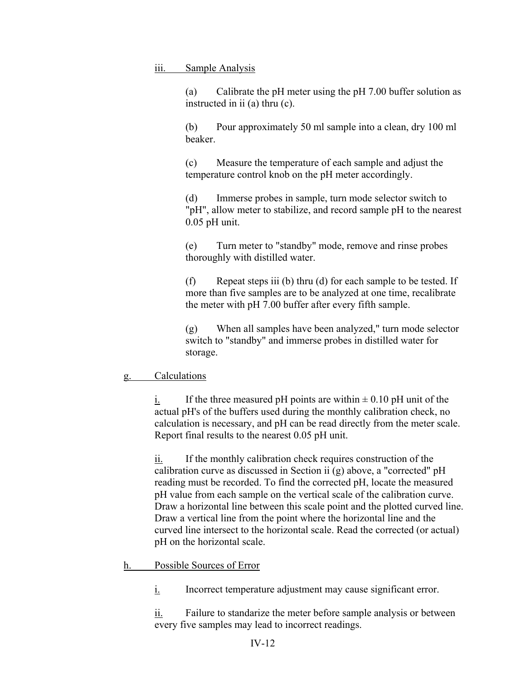#### iii. Sample Analysis

(a) Calibrate the pH meter using the pH 7.00 buffer solution as instructed in ii (a) thru (c).

(b) Pour approximately 50 ml sample into a clean, dry 100 ml beaker.

(c) Measure the temperature of each sample and adjust the temperature control knob on the pH meter accordingly.

(d) Immerse probes in sample, turn mode selector switch to "pH", allow meter to stabilize, and record sample pH to the nearest 0.05 pH unit.

(e) Turn meter to "standby" mode, remove and rinse probes thoroughly with distilled water.

(f) Repeat steps iii (b) thru (d) for each sample to be tested. If more than five samples are to be analyzed at one time, recalibrate the meter with pH 7.00 buffer after every fifth sample.

(g) When all samples have been analyzed," turn mode selector switch to "standby" and immerse probes in distilled water for storage.

### g. Calculations

<u>i.</u> If the three measured pH points are within  $\pm$  0.10 pH unit of the actual pH's of the buffers used during the monthly calibration check, no calculation is necessary, and pH can be read directly from the meter scale. Report final results to the nearest 0.05 pH unit.

ii. If the monthly calibration check requires construction of the calibration curve as discussed in Section ii (g) above, a "corrected" pH reading must be recorded. To find the corrected pH, locate the measured pH value from each sample on the vertical scale of the calibration curve. Draw a horizontal line between this scale point and the plotted curved line. Draw a vertical line from the point where the horizontal line and the curved line intersect to the horizontal scale. Read the corrected (or actual) pH on the horizontal scale.

h. Possible Sources of Error

i. Incorrect temperature adjustment may cause significant error.

 $i$  Eailure to standarize the meter before sample analysis or between every five samples may lead to incorrect readings.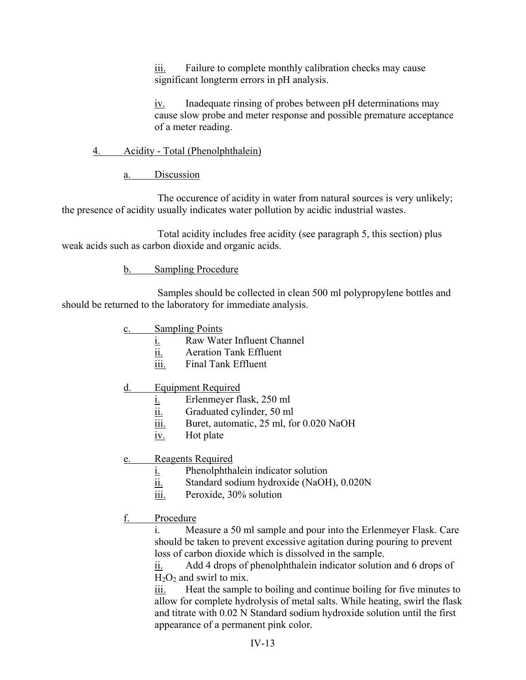iii. Failure to complete monthly calibration checks may cause significant longterm errors in pH analysis.

iv. Inadequate rinsing of probes between pH determinations may cause slow probe and meter response and possible premature acceptance of a meter reading.

## 4. Acidity - Total (Phenolphthalein)

a. Discussion

The occurence of acidity in water from natural sources is very unlikely; the presence of acidity usually indicates water pollution by acidic industrial wastes.

Total acidity includes free acidity (see paragraph 5, this section) plus weak acids such as carbon dioxide and organic acids.

b. Sampling Procedure

Samples should be collected in clean 500 ml polypropylene bottles and should be returned to the laboratory for immediate analysis.

- c. Sampling Points
	- i. Raw Water Influent Channel
	- ii. Aeration Tank Effluent
	- iii. Final Tank Effluent

## d. Equipment Required

- i. Erlenmeyer flask, 250 ml
- ii. Graduated cylinder, 50 ml
- iii. Buret, automatic, 25 ml, for 0.020 NaOH
- iv. Hot plate
- e. Reagents Required
	- i. Phenolphthalein indicator solution
	- ii. Standard sodium hydroxide (NaOH), 0.020N
	- iii. Peroxide, 30% solution
- f. Procedure

i. Measure a 50 ml sample and pour into the Erlenmeyer Flask. Care should be taken to prevent excessive agitation during pouring to prevent loss of carbon dioxide which is dissolved in the sample.

ii. Add 4 drops of phenolphthalein indicator solution and 6 drops of  $H_2O_2$  and swirl to mix.

iii. Heat the sample to boiling and continue boiling for five minutes to allow for complete hydrolysis of metal salts. While heating, swirl the flask and titrate with 0.02 N Standard sodium hydroxide solution until the first appearance of a permanent pink color.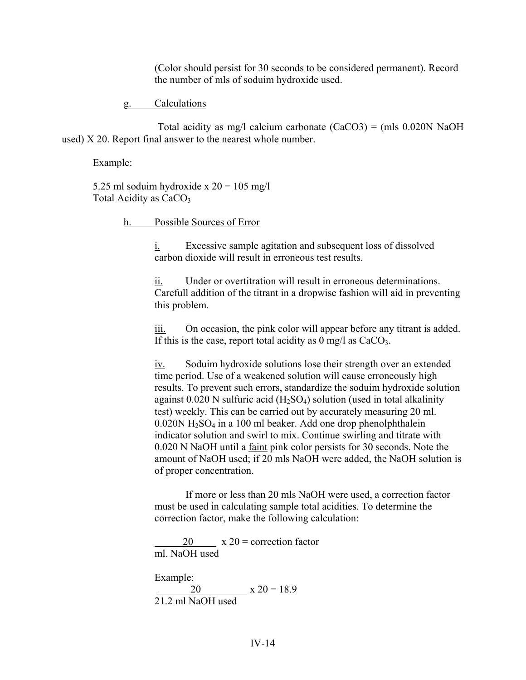(Color should persist for 30 seconds to be considered permanent). Record the number of mls of soduim hydroxide used.

g. Calculations

Total acidity as mg/l calcium carbonate  $(CaCO3) = (mls 0.020N NaOH)$ used) X 20. Report final answer to the nearest whole number.

Example:

5.25 ml soduim hydroxide x  $20 = 105$  mg/l Total Acidity as CaCO<sub>3</sub>

h. Possible Sources of Error

i. Excessive sample agitation and subsequent loss of dissolved carbon dioxide will result in erroneous test results.

ii. Under or overtitration will result in erroneous determinations. Carefull addition of the titrant in a dropwise fashion will aid in preventing this problem.

iii. On occasion, the pink color will appear before any titrant is added. If this is the case, report total acidity as  $0 \text{ mg/l}$  as  $CaCO<sub>3</sub>$ .

iv. Soduim hydroxide solutions lose their strength over an extended time period. Use of a weakened solution will cause erroneously high results. To prevent such errors, standardize the soduim hydroxide solution against  $0.020$  N sulfuric acid  $(H<sub>2</sub>SO<sub>4</sub>)$  solution (used in total alkalinity test) weekly. This can be carried out by accurately measuring 20 ml.  $0.020N H<sub>2</sub>SO<sub>4</sub>$  in a 100 ml beaker. Add one drop phenolphthalein indicator solution and swirl to mix. Continue swirling and titrate with 0.020 N NaOH until a faint pink color persists for 30 seconds. Note the amount of NaOH used; if 20 mls NaOH were added, the NaOH solution is of proper concentration.

If more or less than 20 mls NaOH were used, a correction factor must be used in calculating sample total acidities. To determine the correction factor, make the following calculation:

 $20 \text{ x } 20 = \text{correction factor}$ ml. NaOH used

Example:  $20$  x  $20 = 18.9$ 21.2 ml NaOH used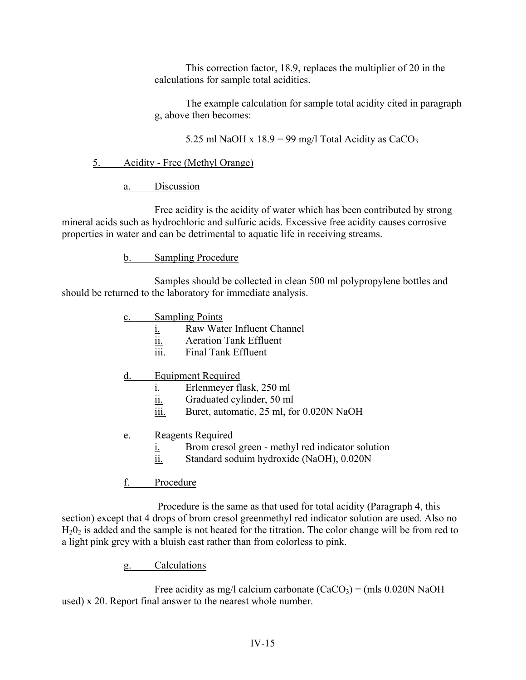This correction factor, 18.9, replaces the multiplier of 20 in the calculations for sample total acidities.

The example calculation for sample total acidity cited in paragraph g, above then becomes:

5.25 ml NaOH x  $18.9 = 99$  mg/l Total Acidity as CaCO<sub>3</sub>

5. Acidity - Free (Methyl Orange)

a. Discussion

Free acidity is the acidity of water which has been contributed by strong mineral acids such as hydrochloric and sulfuric acids. Excessive free acidity causes corrosive properties in water and can be detrimental to aquatic life in receiving streams.

b. Sampling Procedure

Samples should be collected in clean 500 ml polypropylene bottles and should be returned to the laboratory for immediate analysis.

- c. Sampling Points
	- i. Raw Water Influent Channel
	- ii. Aeration Tank Effluent
	- iii. Final Tank Effluent
- d. Equipment Required
	- i. Erlenmeyer flask, 250 ml
	- ii. Graduated cylinder, 50 ml
	- iii. Buret, automatic, 25 ml, for 0.020N NaOH
- e. Reagents Required
	- $i$ . Brom cresol green methyl red indicator solution
	- ii. Standard soduim hydroxide (NaOH), 0.020N
- f. Procedure

Procedure is the same as that used for total acidity (Paragraph 4, this section) except that 4 drops of brom cresol greenmethyl red indicator solution are used. Also no  $H<sub>2</sub>0<sub>2</sub>$  is added and the sample is not heated for the titration. The color change will be from red to a light pink grey with a bluish cast rather than from colorless to pink.

g. Calculations

Free acidity as mg/l calcium carbonate  $(CaCO<sub>3</sub>) = (mls 0.020N NaOH)$ used) x 20. Report final answer to the nearest whole number.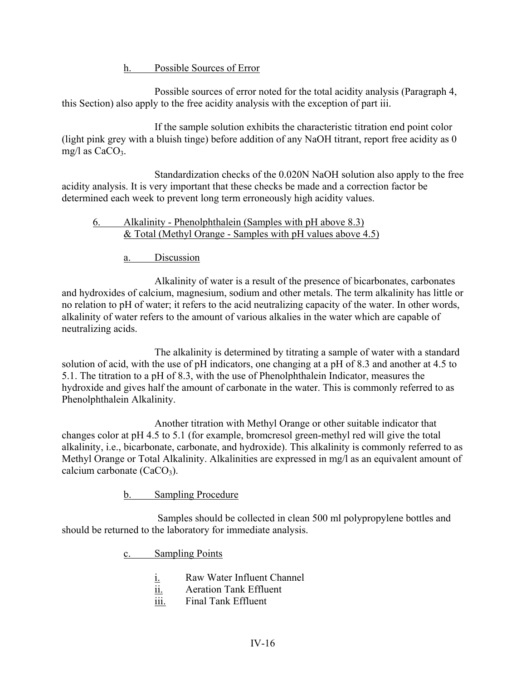h. Possible Sources of Error

Possible sources of error noted for the total acidity analysis (Paragraph 4, this Section) also apply to the free acidity analysis with the exception of part iii.

If the sample solution exhibits the characteristic titration end point color (light pink grey with a bluish tinge) before addition of any NaOH titrant, report free acidity as 0 mg/l as  $CaCO<sub>3</sub>$ .

Standardization checks of the 0.020N NaOH solution also apply to the free acidity analysis. It is very important that these checks be made and a correction factor be determined each week to prevent long term erroneously high acidity values.

#### 6. Alkalinity - Phenolphthalein (Samples with pH above 8.3) & Total (Methyl Orange - Samples with pH values above 4.5)

a. Discussion

Alkalinity of water is a result of the presence of bicarbonates, carbonates and hydroxides of calcium, magnesium, sodium and other metals. The term alkalinity has little or no relation to pH of water; it refers to the acid neutralizing capacity of the water. In other words, alkalinity of water refers to the amount of various alkalies in the water which are capable of neutralizing acids.

The alkalinity is determined by titrating a sample of water with a standard solution of acid, with the use of pH indicators, one changing at a pH of 8.3 and another at 4.5 to 5.1. The titration to a pH of 8.3, with the use of Phenolphthalein Indicator, measures the hydroxide and gives half the amount of carbonate in the water. This is commonly referred to as Phenolphthalein Alkalinity.

Another titration with Methyl Orange or other suitable indicator that changes color at pH 4.5 to 5.1 (for example, bromcresol green-methyl red will give the total alkalinity, i.e., bicarbonate, carbonate, and hydroxide). This alkalinity is commonly referred to as Methyl Orange or Total Alkalinity. Alkalinities are expressed in mg/l as an equivalent amount of calcium carbonate  $(CaCO<sub>3</sub>)$ .

b. Sampling Procedure

Samples should be collected in clean 500 ml polypropylene bottles and should be returned to the laboratory for immediate analysis.

c. Sampling Points

- i. Raw Water Influent Channel
- ii. Aeration Tank Effluent
- iii. Final Tank Effluent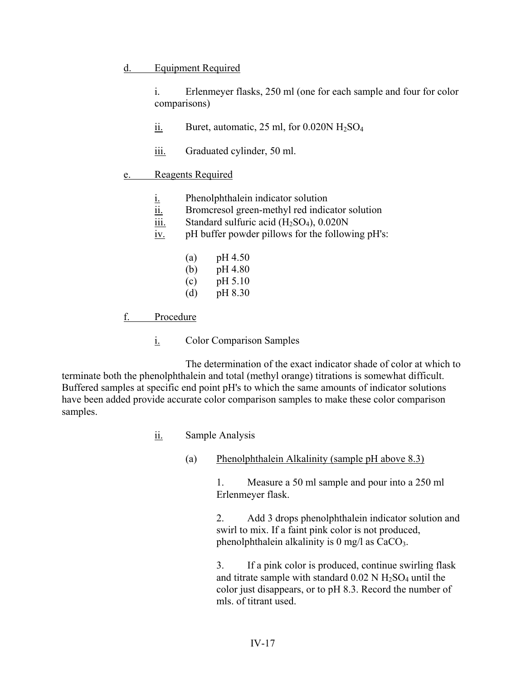#### d. Equipment Required

i. Erlenmeyer flasks, 250 ml (one for each sample and four for color comparisons)

- $\underline{\text{ii}}$ . Buret, automatic, 25 ml, for 0.020N H<sub>2</sub>SO<sub>4</sub>
- iii. Graduated cylinder, 50 ml.
- e. Reagents Required
	- i. Phenolphthalein indicator solution
	- ii. Bromcresol green-methyl red indicator solution
	- iii. Standard sulfuric acid  $(H<sub>2</sub>SO<sub>4</sub>)$ , 0.020N
	- $iv.$  pH buffer powder pillows for the following pH's:
		- (a)  $pH 4.50$ (b) pH 4.80 (c) pH 5.10 (d) pH 8.30

f. Procedure

i. Color Comparison Samples

The determination of the exact indicator shade of color at which to terminate both the phenolphthalein and total (methyl orange) titrations is somewhat difficult. Buffered samples at specific end point pH's to which the same amounts of indicator solutions have been added provide accurate color comparison samples to make these color comparison samples.

- ii. Sample Analysis
	- (a) Phenolphthalein Alkalinity (sample pH above 8.3)

1. Measure a 50 ml sample and pour into a 250 ml Erlenmeyer flask.

2. Add 3 drops phenolphthalein indicator solution and swirl to mix. If a faint pink color is not produced, phenolphthalein alkalinity is 0 mg/l as CaCO3.

3. If a pink color is produced, continue swirling flask and titrate sample with standard  $0.02$  N H<sub>2</sub>SO<sub>4</sub> until the color just disappears, or to pH 8.3. Record the number of mls. of titrant used.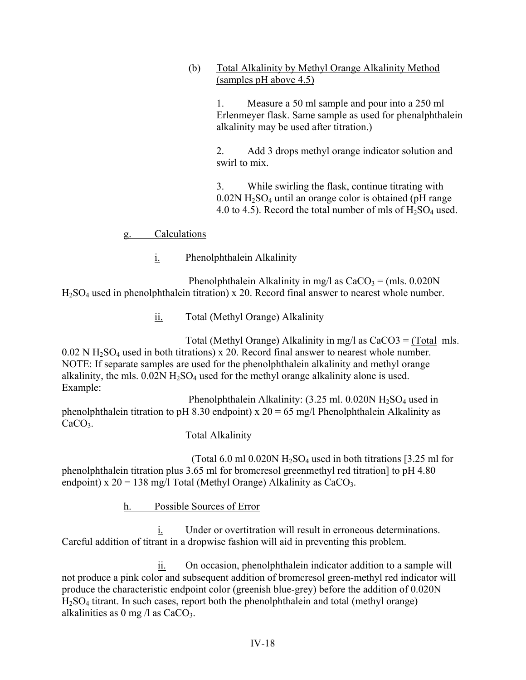(b) Total Alkalinity by Methyl Orange Alkalinity Method (samples pH above 4.5)

> 1. Measure a 50 ml sample and pour into a 250 ml Erlenmeyer flask. Same sample as used for phenalphthalein alkalinity may be used after titration.)

2. Add 3 drops methyl orange indicator solution and swirl to mix.

3. While swirling the flask, continue titrating with  $0.02N H<sub>2</sub>SO<sub>4</sub>$  until an orange color is obtained (pH range 4.0 to 4.5). Record the total number of mls of  $H_2SO_4$  used.

### g. Calculations

i. Phenolphthalein Alkalinity

Phenolphthalein Alkalinity in mg/l as  $CaCO_3 = (mls. 0.020N)$ H2SO4 used in phenolphthalein titration) x 20. Record final answer to nearest whole number.

ii. Total (Methyl Orange) Alkalinity

Total (Methyl Orange) Alkalinity in mg/l as CaCO3 = (Total mls.  $0.02$  N H<sub>2</sub>SO<sub>4</sub> used in both titrations) x 20. Record final answer to nearest whole number. NOTE: If separate samples are used for the phenolphthalein alkalinity and methyl orange alkalinity, the mls.  $0.02N H<sub>2</sub>SO<sub>4</sub>$  used for the methyl orange alkalinity alone is used. Example:

Phenolphthalein Alkalinity:  $(3.25 \text{ ml. } 0.020 \text{ N H}_2\text{SO}_4$  used in phenolphthalein titration to pH 8.30 endpoint) x  $20 = 65$  mg/l Phenolphthalein Alkalinity as CaCO<sub>3</sub>.

Total Alkalinity

(Total 6.0 ml 0.020N  $H_2SO_4$  used in both titrations [3.25 ml for phenolphthalein titration plus 3.65 ml for bromcresol greenmethyl red titration] to pH 4.80 endpoint) x  $20 = 138$  mg/l Total (Methyl Orange) Alkalinity as CaCO<sub>3</sub>.

h. Possible Sources of Error

i. Under or overtitration will result in erroneous determinations. Careful addition of titrant in a dropwise fashion will aid in preventing this problem.

ii. On occasion, phenolphthalein indicator addition to a sample will not produce a pink color and subsequent addition of bromcresol green-methyl red indicator will produce the characteristic endpoint color (greenish blue-grey) before the addition of 0.020N H2SO4 titrant. In such cases, report both the phenolphthalein and total (methyl orange) alkalinities as  $0 \text{ mg }$  /l as CaCO<sub>3</sub>.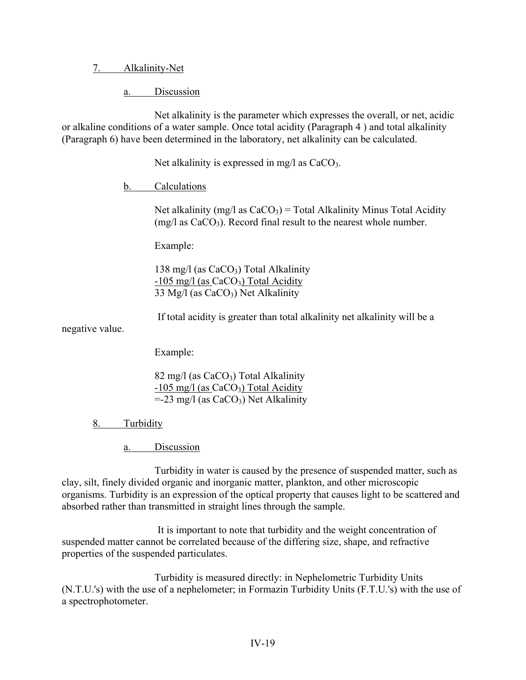7. Alkalinity-Net

a. Discussion

Net alkalinity is the parameter which expresses the overall, or net, acidic or alkaline conditions of a water sample. Once total acidity (Paragraph 4 ) and total alkalinity (Paragraph 6) have been determined in the laboratory, net alkalinity can be calculated.

Net alkalinity is expressed in mg/l as  $CaCO<sub>3</sub>$ .

b. Calculations

Net alkalinity (mg/l as  $CaCO<sub>3</sub>$ ) = Total Alkalinity Minus Total Acidity  $(mg/das CaCO<sub>3</sub>)$ . Record final result to the nearest whole number.

Example:

138 mg/l (as  $CaCO<sub>3</sub>$ ) Total Alkalinity  $-105$  mg/l (as CaCO<sub>3</sub>) Total Acidity 33 Mg/l (as  $CaCO<sub>3</sub>$ ) Net Alkalinity

If total acidity is greater than total alkalinity net alkalinity will be a

negative value.

Example:

 $82 \text{ mg/l}$  (as CaCO<sub>3</sub>) Total Alkalinity  $-105$  mg/l (as CaCO<sub>3</sub>) Total Acidity  $=$  -23 mg/l (as CaCO<sub>3</sub>) Net Alkalinity

8. Turbidity

a. Discussion

Turbidity in water is caused by the presence of suspended matter, such as clay, silt, finely divided organic and inorganic matter, plankton, and other microscopic organisms. Turbidity is an expression of the optical property that causes light to be scattered and absorbed rather than transmitted in straight lines through the sample.

It is important to note that turbidity and the weight concentration of suspended matter cannot be correlated because of the differing size, shape, and refractive properties of the suspended particulates.

Turbidity is measured directly: in Nephelometric Turbidity Units (N.T.U.'s) with the use of a nephelometer; in Formazin Turbidity Units (F.T.U.'s) with the use of a spectrophotometer.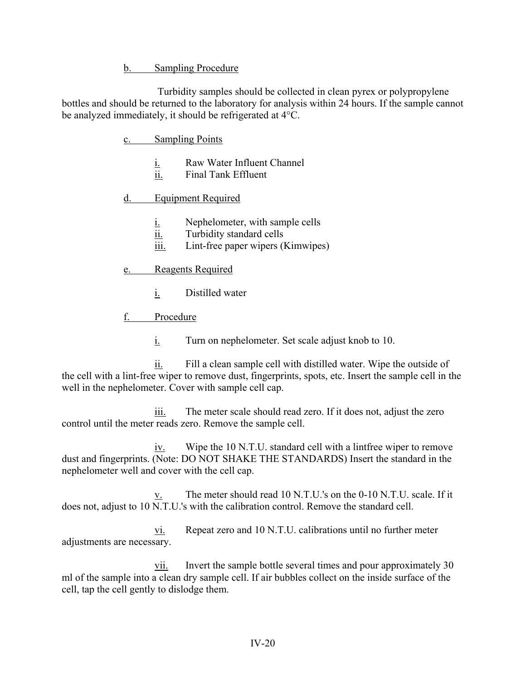b. Sampling Procedure

Turbidity samples should be collected in clean pyrex or polypropylene bottles and should be returned to the laboratory for analysis within 24 hours. If the sample cannot be analyzed immediately, it should be refrigerated at 4°C.

- c. Sampling Points
	- i. Raw Water Influent Channel
	- ii. Final Tank Effluent
- d. Equipment Required
	- $i$ . Nephelometer, with sample cells
	- ii. Turbidity standard cells
	- iii. Lint-free paper wipers (Kimwipes)
- e. Reagents Required
	- i. Distilled water
- f. Procedure
	- i. Turn on nephelometer. Set scale adjust knob to 10.

ii. Fill a clean sample cell with distilled water. Wipe the outside of the cell with a lint-free wiper to remove dust, fingerprints, spots, etc. Insert the sample cell in the well in the nephelometer. Cover with sample cell cap.

iii. The meter scale should read zero. If it does not, adjust the zero control until the meter reads zero. Remove the sample cell.

iv. Wipe the 10 N.T.U. standard cell with a lintfree wiper to remove dust and fingerprints. (Note: DO NOT SHAKE THE STANDARDS) Insert the standard in the nephelometer well and cover with the cell cap.

 $v<sub>r</sub>$  The meter should read 10 N.T.U.'s on the 0-10 N.T.U. scale. If it does not, adjust to 10 N.T.U.'s with the calibration control. Remove the standard cell.

vi. Repeat zero and 10 N.T.U. calibrations until no further meter adjustments are necessary.

vii. Invert the sample bottle several times and pour approximately 30 ml of the sample into a clean dry sample cell. If air bubbles collect on the inside surface of the cell, tap the cell gently to dislodge them.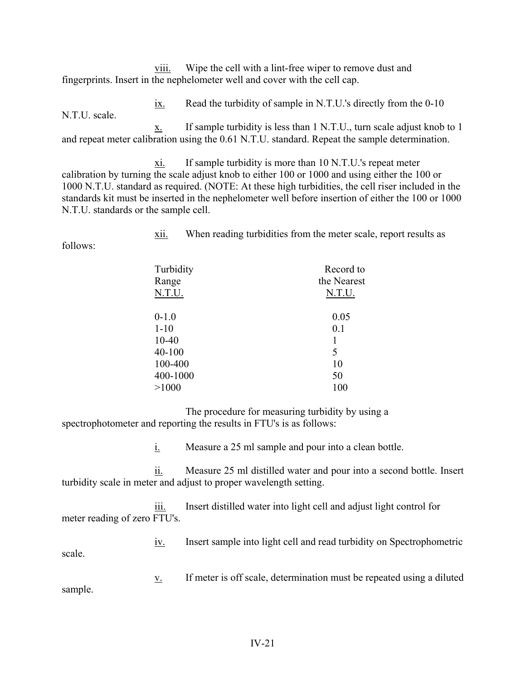viii. Wipe the cell with a lint-free wiper to remove dust and fingerprints. Insert in the nephelometer well and cover with the cell cap.

 $ix.$  Read the turbidity of sample in N.T.U.'s directly from the 0-10 N.T.U. scale.

 $x<sub>l</sub>$  If sample turbidity is less than 1 N.T.U., turn scale adjust knob to 1 and repeat meter calibration using the 0.61 N.T.U. standard. Repeat the sample determination.

xi. If sample turbidity is more than 10 N.T.U.'s repeat meter calibration by turning the scale adjust knob to either 100 or 1000 and using either the 100 or 1000 N.T.U. standard as required. (NOTE: At these high turbidities, the cell riser included in the standards kit must be inserted in the nephelometer well before insertion of either the 100 or 1000 N.T.U. standards or the sample cell.

xii. When reading turbidities from the meter scale, report results as

follows:

| Turbidity | Record to   |
|-----------|-------------|
| Range     | the Nearest |
| N.T.U.    | N.T.U.      |
| $0 - 1.0$ | 0.05        |
| $1 - 10$  | 0.1         |
| $10 - 40$ |             |
| 40-100    | 5           |
| 100-400   | 10          |
| 400-1000  | 50          |
| >1000     | 100         |

The procedure for measuring turbidity by using a spectrophotometer and reporting the results in FTU's is as follows:

i. Measure a 25 ml sample and pour into a clean bottle.

ii. Measure 25 ml distilled water and pour into a second bottle. Insert turbidity scale in meter and adjust to proper wavelength setting.

iii. Insert distilled water into light cell and adjust light control for meter reading of zero FTU's.

iv. Insert sample into light cell and read turbidity on Spectrophometric scale.

 $\underline{v}$ . If meter is off scale, determination must be repeated using a diluted sample.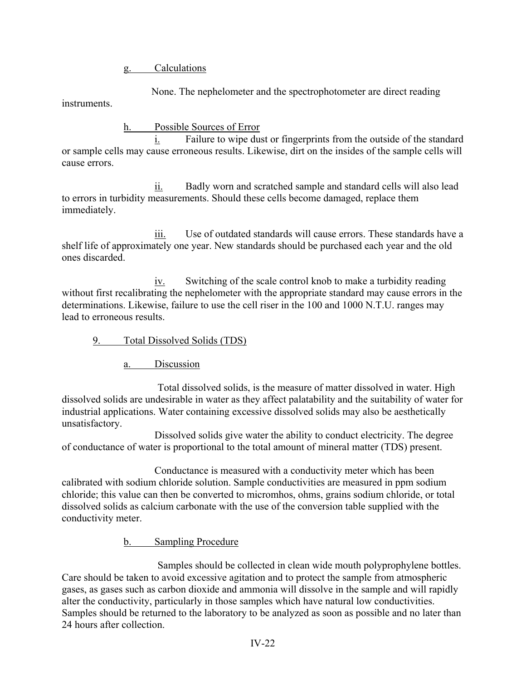g. Calculations

None. The nephelometer and the spectrophotometer are direct reading instruments.

h. Possible Sources of Error

i. Failure to wipe dust or fingerprints from the outside of the standard or sample cells may cause erroneous results. Likewise, dirt on the insides of the sample cells will cause errors.

ii. Badly worn and scratched sample and standard cells will also lead to errors in turbidity measurements. Should these cells become damaged, replace them immediately.

iii. Use of outdated standards will cause errors. These standards have a shelf life of approximately one year. New standards should be purchased each year and the old ones discarded.

iv. Switching of the scale control knob to make a turbidity reading without first recalibrating the nephelometer with the appropriate standard may cause errors in the determinations. Likewise, failure to use the cell riser in the 100 and 1000 N.T.U. ranges may lead to erroneous results.

- 9. Total Dissolved Solids (TDS)
	- a. Discussion

Total dissolved solids, is the measure of matter dissolved in water. High dissolved solids are undesirable in water as they affect palatability and the suitability of water for industrial applications. Water containing excessive dissolved solids may also be aesthetically unsatisfactory.

Dissolved solids give water the ability to conduct electricity. The degree of conductance of water is proportional to the total amount of mineral matter (TDS) present.

Conductance is measured with a conductivity meter which has been calibrated with sodium chloride solution. Sample conductivities are measured in ppm sodium chloride; this value can then be converted to micromhos, ohms, grains sodium chloride, or total dissolved solids as calcium carbonate with the use of the conversion table supplied with the conductivity meter.

b. Sampling Procedure

Samples should be collected in clean wide mouth polyprophylene bottles. Care should be taken to avoid excessive agitation and to protect the sample from atmospheric gases, as gases such as carbon dioxide and ammonia will dissolve in the sample and will rapidly alter the conductivity, particularly in those samples which have natural low conductivities. Samples should be returned to the laboratory to be analyzed as soon as possible and no later than 24 hours after collection.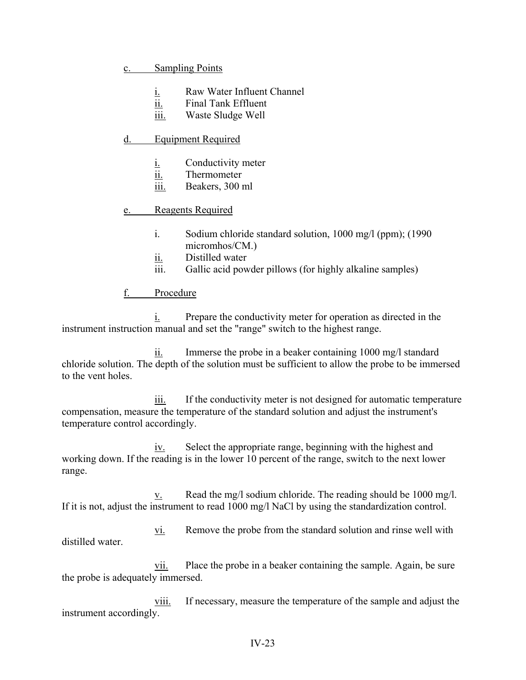- c. Sampling Points
	- i. Raw Water Influent Channel
	- ii. Final Tank Effluent
	- iii. Waste Sludge Well
- d. Equipment Required
	- i. Conductivity meter
	- ii. Thermometer
	- iii. Beakers, 300 ml

#### e. Reagents Required

- i. Sodium chloride standard solution, 1000 mg/l (ppm); (1990 micromhos/CM.)
- ii. Distilled water
- iii. Gallic acid powder pillows (for highly alkaline samples)

#### f. Procedure

i. Prepare the conductivity meter for operation as directed in the instrument instruction manual and set the "range" switch to the highest range.

ii. Immerse the probe in a beaker containing 1000 mg/l standard chloride solution. The depth of the solution must be sufficient to allow the probe to be immersed to the vent holes.

iii. If the conductivity meter is not designed for automatic temperature compensation, measure the temperature of the standard solution and adjust the instrument's temperature control accordingly.

iv. Select the appropriate range, beginning with the highest and working down. If the reading is in the lower 10 percent of the range, switch to the next lower range.

 $v.$  Read the mg/l sodium chloride. The reading should be 1000 mg/l. If it is not, adjust the instrument to read 1000 mg/l NaCl by using the standardization control.

vi. Remove the probe from the standard solution and rinse well with distilled water.

vii. Place the probe in a beaker containing the sample. Again, be sure the probe is adequately immersed.

viii. If necessary, measure the temperature of the sample and adjust the instrument accordingly.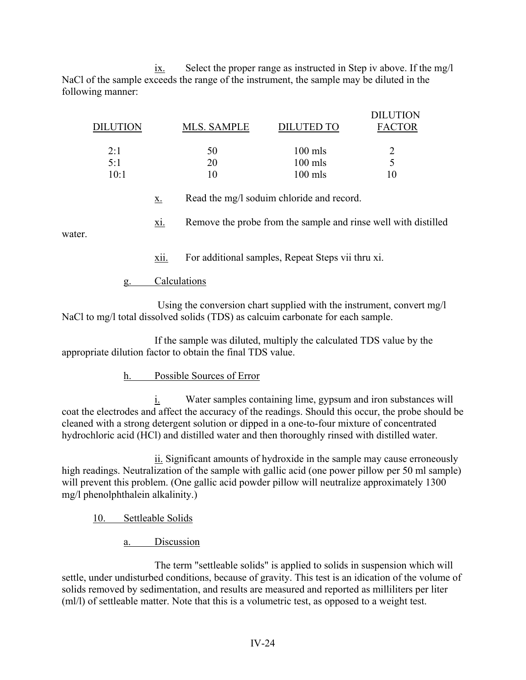$ix.$  Select the proper range as instructed in Step iv above. If the mg/l NaCl of the sample exceeds the range of the instrument, the sample may be diluted in the following manner:

| <b>MLS. SAMPLE</b> | <b>DILUTED TO</b> | <b>DILUTION</b><br><b>FACTOR</b> |
|--------------------|-------------------|----------------------------------|
| 50                 | $100$ mls         |                                  |
| 20                 | $100$ mls         |                                  |
|                    | $100$ mls         | l ()                             |
|                    |                   |                                  |

x. Read the mg/l soduim chloride and record.

xi. Remove the probe from the sample and rinse well with distilled

water.

xii. For additional samples, Repeat Steps vii thru xi.

g. Calculations

Using the conversion chart supplied with the instrument, convert mg/l NaCl to mg/l total dissolved solids (TDS) as calcuim carbonate for each sample.

If the sample was diluted, multiply the calculated TDS value by the appropriate dilution factor to obtain the final TDS value.

h. Possible Sources of Error

i. Water samples containing lime, gypsum and iron substances will coat the electrodes and affect the accuracy of the readings. Should this occur, the probe should be cleaned with a strong detergent solution or dipped in a one-to-four mixture of concentrated hydrochloric acid (HCl) and distilled water and then thoroughly rinsed with distilled water.

ii. Significant amounts of hydroxide in the sample may cause erroneously high readings. Neutralization of the sample with gallic acid (one power pillow per 50 ml sample) will prevent this problem. (One gallic acid powder pillow will neutralize approximately 1300 mg/l phenolphthalein alkalinity.)

10. Settleable Solids

a. Discussion

The term "settleable solids" is applied to solids in suspension which will settle, under undisturbed conditions, because of gravity. This test is an idication of the volume of solids removed by sedimentation, and results are measured and reported as milliliters per liter (ml/l) of settleable matter. Note that this is a volumetric test, as opposed to a weight test.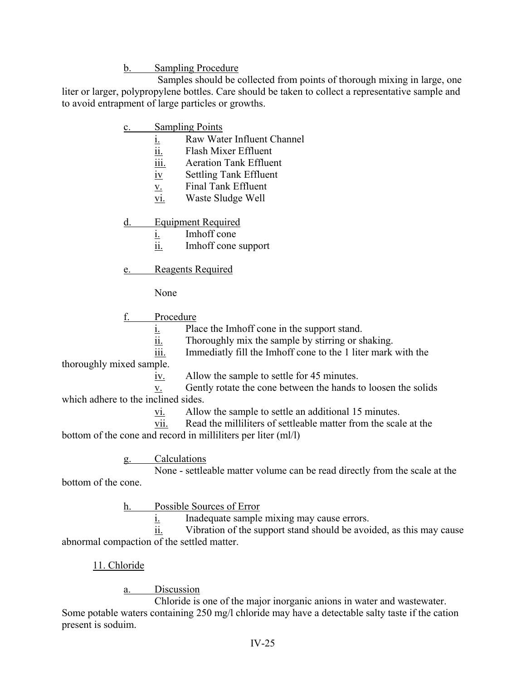### b. Sampling Procedure

Samples should be collected from points of thorough mixing in large, one liter or larger, polypropylene bottles. Care should be taken to collect a representative sample and to avoid entrapment of large particles or growths.

- c. Sampling Points
	- i. Raw Water Influent Channel
	- ii. Flash Mixer Effluent
	- iii. Aeration Tank Effluent
	- iv Settling Tank Effluent
	- v. Final Tank Effluent
	- vi. Waste Sludge Well
- d. Equipment Required
	- i. Imhoff cone
	- ii. Imhoff cone support
- e. Reagents Required

None

f. Procedure

 $i.$  Place the Imhoff cone in the support stand.

ii. Thoroughly mix the sample by stirring or shaking.

iii. Immediatly fill the Imhoff cone to the 1 liter mark with the thoroughly mixed sample.

iv. Allow the sample to settle for 45 minutes.

v. Gently rotate the cone between the hands to loosen the solids which adhere to the inclined sides.

vi. Allow the sample to settle an additional 15 minutes.

vii. Read the milliliters of settleable matter from the scale at the bottom of the cone and record in milliliters per liter (ml/l)

g. Calculations

None - settleable matter volume can be read directly from the scale at the bottom of the cone.

h. Possible Sources of Error

i. Inadequate sample mixing may cause errors.

ii. Vibration of the support stand should be avoided, as this may cause abnormal compaction of the settled matter.

### 11. Chloride

## a. Discussion

Chloride is one of the major inorganic anions in water and wastewater. Some potable waters containing 250 mg/l chloride may have a detectable salty taste if the cation present is soduim.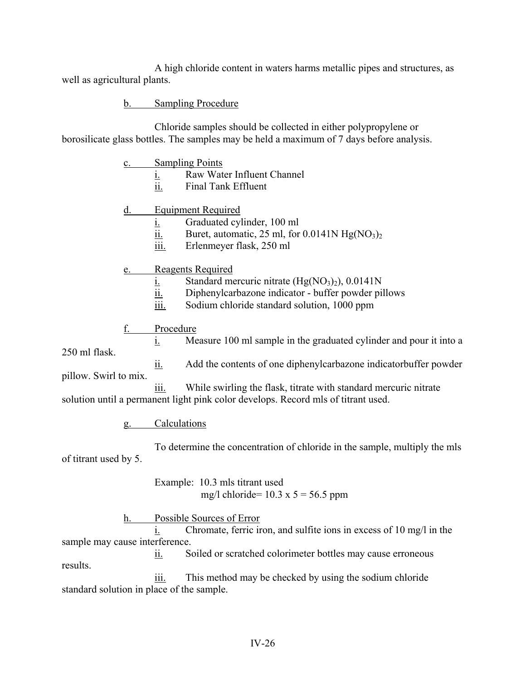A high chloride content in waters harms metallic pipes and structures, as well as agricultural plants.

b. Sampling Procedure

Chloride samples should be collected in either polypropylene or borosilicate glass bottles. The samples may be held a maximum of 7 days before analysis.

- c. Sampling Points
	- i. Raw Water Influent Channel
	- ii. Final Tank Effluent

d. Equipment Required

- i. Graduated cylinder, 100 ml
- ii. Buret, automatic, 25 ml, for  $0.0141N$  Hg( $NO<sub>3</sub>)<sub>2</sub>$
- iii. Erlenmeyer flask, 250 ml

e. Reagents Required

- i. Standard mercuric nitrate  $(Hg(NO<sub>3</sub>)<sub>2</sub>), 0.0141N$
- ii. Diphenylcarbazone indicator buffer powder pillows
- iii. Sodium chloride standard solution, 1000 ppm

f. Procedure

i. Measure 100 ml sample in the graduated cylinder and pour it into a

250 ml flask. ii. Add the contents of one diphenylcarbazone indicatorbuffer powder pillow. Swirl to mix.

iii. While swirling the flask, titrate with standard mercuric nitrate solution until a permanent light pink color develops. Record mls of titrant used.

g. Calculations

To determine the concentration of chloride in the sample, multiply the mls of titrant used by 5.

> Example: 10.3 mls titrant used mg/l chloride=  $10.3 \times 5 = 56.5$  ppm

h. Possible Sources of Error

i. Chromate, ferric iron, and sulfite ions in excess of 10 mg/l in the sample may cause interference.

ii. Soiled or scratched colorimeter bottles may cause erroneous results.

iii. This method may be checked by using the sodium chloride standard solution in place of the sample.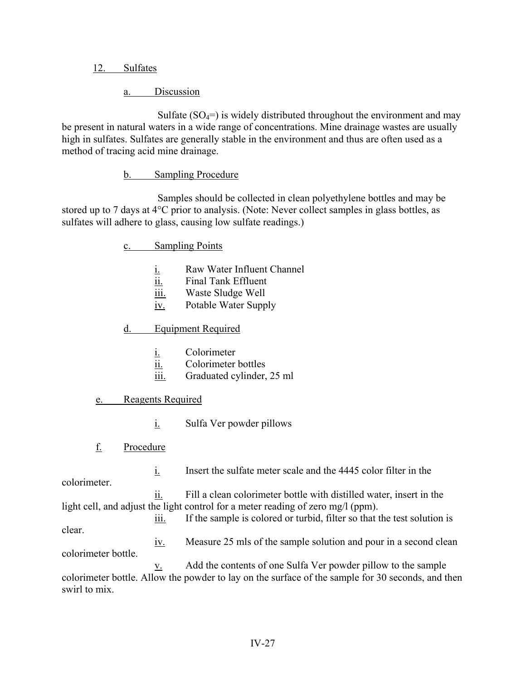#### 12. Sulfates

a. Discussion

Sulfate  $(SO_4=)$  is widely distributed throughout the environment and may be present in natural waters in a wide range of concentrations. Mine drainage wastes are usually high in sulfates. Sulfates are generally stable in the environment and thus are often used as a method of tracing acid mine drainage.

### b. Sampling Procedure

Samples should be collected in clean polyethylene bottles and may be stored up to 7 days at 4°C prior to analysis. (Note: Never collect samples in glass bottles, as sulfates will adhere to glass, causing low sulfate readings.)

- c. Sampling Points
	- i. Raw Water Influent Channel
	- ii. Final Tank Effluent
	- iii. Waste Sludge Well
	- iv. Potable Water Supply
- d. Equipment Required
	- i. Colorimeter
	- ii. Colorimeter bottles
	- iii. Graduated cylinder, 25 ml

### e. Reagents Required

- i. Sulfa Ver powder pillows
- f. Procedure

i. Insert the sulfate meter scale and the 4445 color filter in the colorimeter. ii. Fill a clean colorimeter bottle with distilled water, insert in the light cell, and adjust the light control for a meter reading of zero mg/l (ppm).

iii. If the sample is colored or turbid, filter so that the test solution is clear.

 $iv.$  Measure 25 mls of the sample solution and pour in a second clean colorimeter bottle.

v. Add the contents of one Sulfa Ver powder pillow to the sample colorimeter bottle. Allow the powder to lay on the surface of the sample for 30 seconds, and then swirl to mix.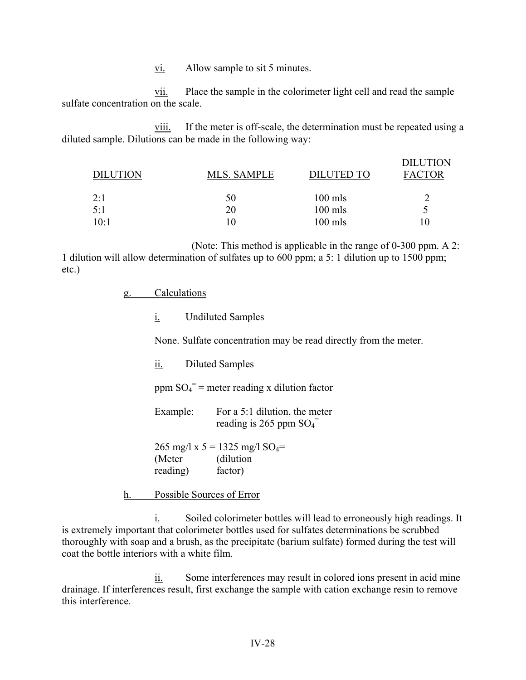vi. Allow sample to sit 5 minutes.

vii. Place the sample in the colorimeter light cell and read the sample sulfate concentration on the scale.

viii. If the meter is off-scale, the determination must be repeated using a diluted sample. Dilutions can be made in the following way:

| <b>DILUTION</b> | <b>MLS. SAMPLE</b> | <b>DILUTED TO</b> | <b>DILUTION</b><br><b>FACTOR</b> |
|-----------------|--------------------|-------------------|----------------------------------|
| 2:1             | 50                 | $100$ mls         |                                  |
| 5:1             | 20                 | $100$ mls         |                                  |
| 10:1            |                    | $100$ mls         | 10                               |

(Note: This method is applicable in the range of 0-300 ppm. A 2:

1 dilution will allow determination of sulfates up to 600 ppm; a 5: 1 dilution up to 1500 ppm; etc.)

- g. Calculations
	- i. Undiluted Samples

None. Sulfate concentration may be read directly from the meter.

ii. Diluted Samples

ppm  $SO_4$ <sup>=</sup> = meter reading x dilution factor

Example: For a 5:1 dilution, the meter reading is 265 ppm  $SO_4$ <sup>=</sup>

265 mg/l x 5 = 1325 mg/l  $SO_4$ = (Meter (dilution reading) factor)

h. Possible Sources of Error

i. Soiled colorimeter bottles will lead to erroneously high readings. It is extremely important that colorimeter bottles used for sulfates determinations be scrubbed thoroughly with soap and a brush, as the precipitate (barium sulfate) formed during the test will coat the bottle interiors with a white film.

ii. Some interferences may result in colored ions present in acid mine drainage. If interferences result, first exchange the sample with cation exchange resin to remove this interference.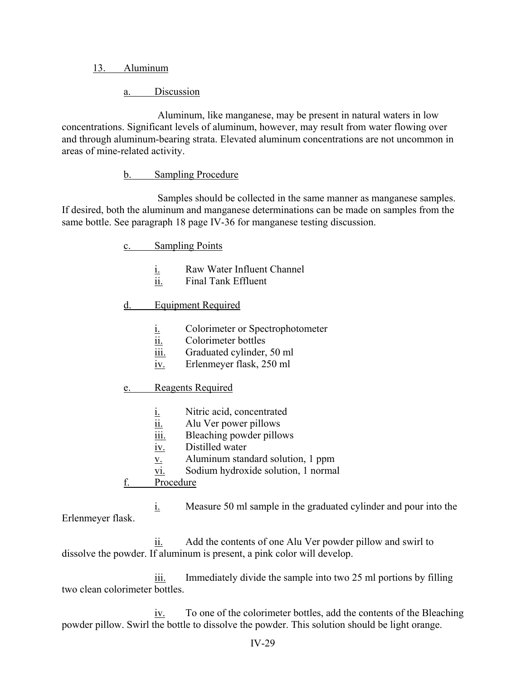#### 13. Aluminum

a. Discussion

Aluminum, like manganese, may be present in natural waters in low concentrations. Significant levels of aluminum, however, may result from water flowing over and through aluminum-bearing strata. Elevated aluminum concentrations are not uncommon in areas of mine-related activity.

### b. Sampling Procedure

Samples should be collected in the same manner as manganese samples. If desired, both the aluminum and manganese determinations can be made on samples from the same bottle. See paragraph 18 page IV-36 for manganese testing discussion.

c. Sampling Points

- i. Raw Water Influent Channel
- ii. Final Tank Effluent
- d. Equipment Required
	- i. Colorimeter or Spectrophotometer
	- ii. Colorimeter bottles
	- iii. Graduated cylinder, 50 ml
	- iv. Erlenmeyer flask, 250 ml

### e. Reagents Required

- i. Nitric acid, concentrated
- ii. Alu Ver power pillows
- iii. Bleaching powder pillows
- iv. Distilled water
- v. Aluminum standard solution, 1 ppm
- vi. Sodium hydroxide solution, 1 normal
- f. Procedure

i. Measure 50 ml sample in the graduated cylinder and pour into the Erlenmeyer flask.

 $i$ <u>i</u>. Add the contents of one Alu Ver powder pillow and swirl to dissolve the powder. If aluminum is present, a pink color will develop.

iii. Immediately divide the sample into two 25 ml portions by filling two clean colorimeter bottles.

 $iv.$  To one of the colorimeter bottles, add the contents of the Bleaching powder pillow. Swirl the bottle to dissolve the powder. This solution should be light orange.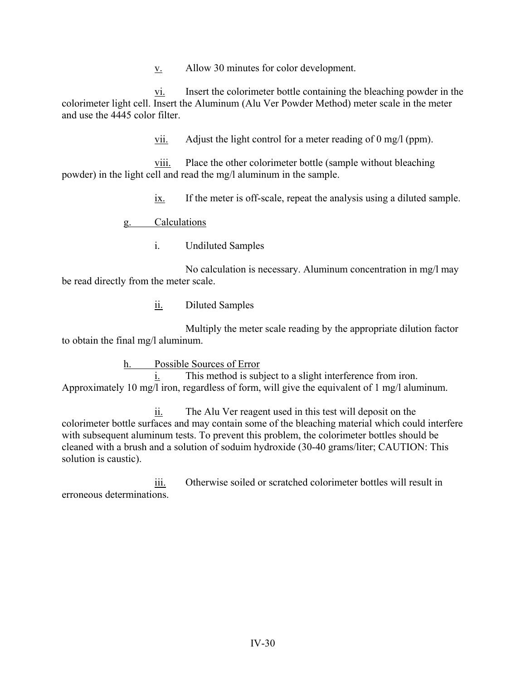$\underline{v}$ . Allow 30 minutes for color development.

vi. Insert the colorimeter bottle containing the bleaching powder in the colorimeter light cell. Insert the Aluminum (Alu Ver Powder Method) meter scale in the meter and use the 4445 color filter.

vii. Adjust the light control for a meter reading of 0 mg/l (ppm).

viii. Place the other colorimeter bottle (sample without bleaching powder) in the light cell and read the mg/l aluminum in the sample.

ix. If the meter is off-scale, repeat the analysis using a diluted sample.

g. Calculations

i. Undiluted Samples

No calculation is necessary. Aluminum concentration in mg/l may be read directly from the meter scale.

ii. Diluted Samples

Multiply the meter scale reading by the appropriate dilution factor to obtain the final mg/l aluminum.

h. Possible Sources of Error i. This method is subject to a slight interference from iron. Approximately 10 mg/l iron, regardless of form, will give the equivalent of 1 mg/l aluminum.

ii. The Alu Ver reagent used in this test will deposit on the colorimeter bottle surfaces and may contain some of the bleaching material which could interfere with subsequent aluminum tests. To prevent this problem, the colorimeter bottles should be cleaned with a brush and a solution of soduim hydroxide (30-40 grams/liter; CAUTION: This solution is caustic).

iii. Otherwise soiled or scratched colorimeter bottles will result in erroneous determinations.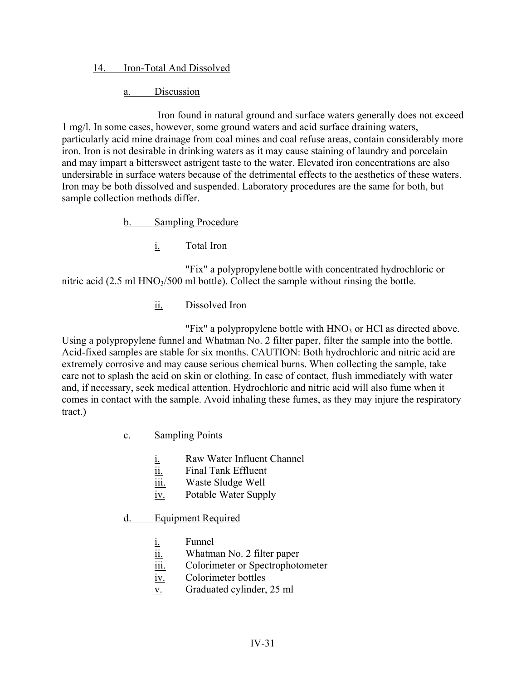#### 14. Iron-Total And Dissolved

#### a. Discussion

Iron found in natural ground and surface waters generally does not exceed 1 mg/l. In some cases, however, some ground waters and acid surface draining waters, particularly acid mine drainage from coal mines and coal refuse areas, contain considerably more iron. Iron is not desirable in drinking waters as it may cause staining of laundry and porcelain and may impart a bittersweet astrigent taste to the water. Elevated iron concentrations are also undersirable in surface waters because of the detrimental effects to the aesthetics of these waters. Iron may be both dissolved and suspended. Laboratory procedures are the same for both, but sample collection methods differ.

- b. Sampling Procedure
	- i. Total Iron

"Fix" a polypropylene bottle with concentrated hydrochloric or nitric acid  $(2.5 \text{ ml HNO<sub>3</sub>/500 ml bottle})$ . Collect the sample without rinsing the bottle.

ii. Dissolved Iron

"Fix" a polypropylene bottle with  $HNO<sub>3</sub>$  or HCl as directed above. Using a polypropylene funnel and Whatman No. 2 filter paper, filter the sample into the bottle. Acid-fixed samples are stable for six months. CAUTION: Both hydrochloric and nitric acid are extremely corrosive and may cause serious chemical burns. When collecting the sample, take care not to splash the acid on skin or clothing. In case of contact, flush immediately with water and, if necessary, seek medical attention. Hydrochloric and nitric acid will also fume when it comes in contact with the sample. Avoid inhaling these fumes, as they may injure the respiratory tract.)

- c. Sampling Points
	- i. Raw Water Influent Channel
	- ii. Final Tank Effluent
	- iii. Waste Sludge Well
	- iv. Potable Water Supply
- d. Equipment Required
	- i. Funnel
	- ii. Whatman No. 2 filter paper
	- iii. Colorimeter or Spectrophotometer
	- iv. Colorimeter bottles
	- v. Graduated cylinder, 25 ml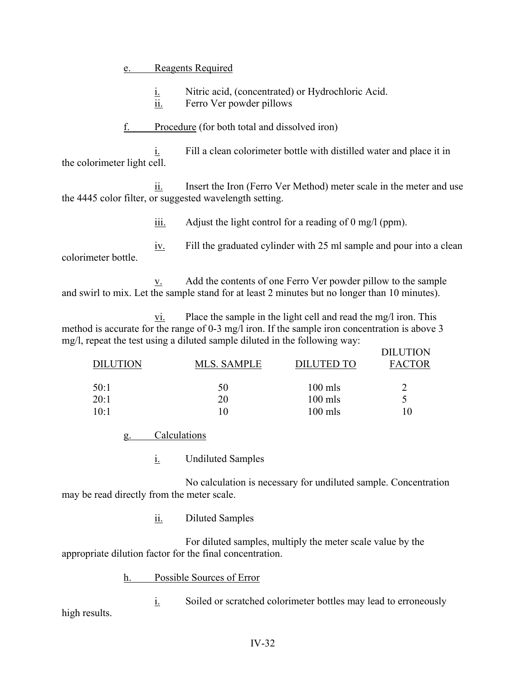e. Reagents Required

i. Nitric acid, (concentrated) or Hydrochloric Acid.

ii. Ferro Ver powder pillows

f. Procedure (for both total and dissolved iron)

i. Fill a clean colorimeter bottle with distilled water and place it in the colorimeter light cell.

ii. Insert the Iron (Ferro Ver Method) meter scale in the meter and use the 4445 color filter, or suggested wavelength setting.

iii. Adjust the light control for a reading of 0 mg/l (ppm).

iv. Fill the graduated cylinder with 25 ml sample and pour into a clean colorimeter bottle.

 $\underline{v}$ . Add the contents of one Ferro Ver powder pillow to the sample and swirl to mix. Let the sample stand for at least 2 minutes but no longer than 10 minutes).

vi. Place the sample in the light cell and read the mg/l iron. This method is accurate for the range of 0-3 mg/l iron. If the sample iron concentration is above 3 mg/l, repeat the test using a diluted sample diluted in the following way: DILUTION

| <b>DILUTION</b> | <b>MLS. SAMPLE</b> | <b>DILUTED TO</b> | <b>DILUTION</b><br><b>FACTOR</b> |
|-----------------|--------------------|-------------------|----------------------------------|
| 50:1            | 50                 | $100$ mls         |                                  |
| 20:1            | 20                 | $100$ mls         |                                  |
| 10:1            | 10                 | $100$ mls         | 10                               |

g. Calculations

i. Undiluted Samples

No calculation is necessary for undiluted sample. Concentration may be read directly from the meter scale.

ii. Diluted Samples

For diluted samples, multiply the meter scale value by the appropriate dilution factor for the final concentration.

h. Possible Sources of Error

 $i$ . Soiled or scratched colorimeter bottles may lead to erroneously high results.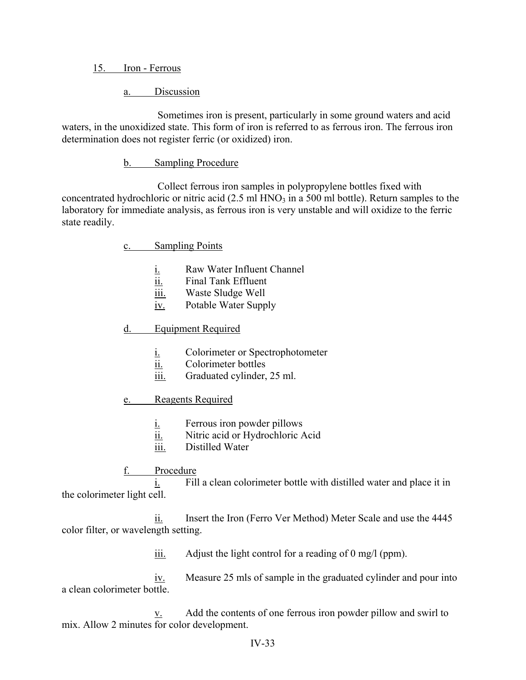#### 15. Iron - Ferrous

a. Discussion

Sometimes iron is present, particularly in some ground waters and acid waters, in the unoxidized state. This form of iron is referred to as ferrous iron. The ferrous iron determination does not register ferric (or oxidized) iron.

#### b. Sampling Procedure

Collect ferrous iron samples in polypropylene bottles fixed with concentrated hydrochloric or nitric acid  $(2.5 \text{ ml HNO}_3 \text{ in a } 500 \text{ ml bottle})$ . Return samples to the laboratory for immediate analysis, as ferrous iron is very unstable and will oxidize to the ferric state readily.

#### c. Sampling Points

- i. Raw Water Influent Channel
- ii. Final Tank Effluent
- iii. Waste Sludge Well
- iv. Potable Water Supply

### d. Equipment Required

- i. Colorimeter or Spectrophotometer
- ii. Colorimeter bottles
- iii. Graduated cylinder, 25 ml.

### e. Reagents Required

- $i.$  Ferrous iron powder pillows
- ii. Nitric acid or Hydrochloric Acid
- iii. Distilled Water

### f. Procedure

i. Fill a clean colorimeter bottle with distilled water and place it in the colorimeter light cell.

 $i$  Insert the Iron (Ferro Ver Method) Meter Scale and use the 4445 color filter, or wavelength setting.

 $\frac{\text{iii.}}{\text{iii.}}$  Adjust the light control for a reading of 0 mg/l (ppm).

iv. Measure 25 mls of sample in the graduated cylinder and pour into a clean colorimeter bottle.

 $\underline{v}$ . Add the contents of one ferrous iron powder pillow and swirl to mix. Allow 2 minutes for color development.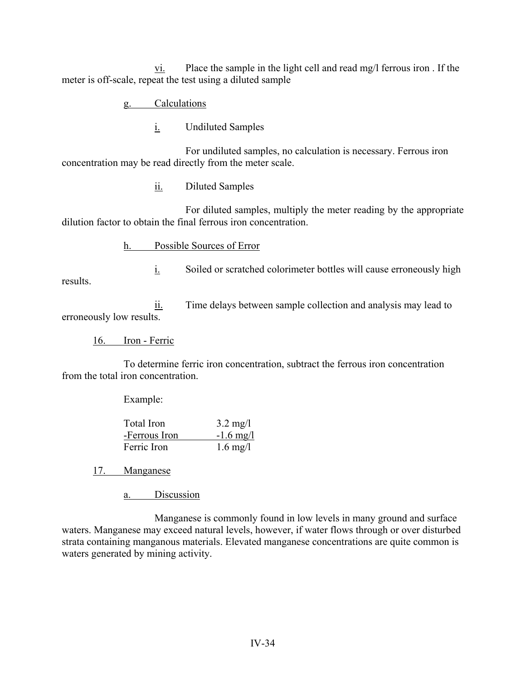vi. Place the sample in the light cell and read mg/l ferrous iron . If the meter is off-scale, repeat the test using a diluted sample

g. Calculations

i. Undiluted Samples

For undiluted samples, no calculation is necessary. Ferrous iron concentration may be read directly from the meter scale.

ii. Diluted Samples

For diluted samples, multiply the meter reading by the appropriate dilution factor to obtain the final ferrous iron concentration.

h. Possible Sources of Error

i. Soiled or scratched colorimeter bottles will cause erroneously high results.

ii. Time delays between sample collection and analysis may lead to erroneously low results.

16. Iron - Ferric

To determine ferric iron concentration, subtract the ferrous iron concentration from the total iron concentration.

Example:

| <b>Total Iron</b> | $3.2 \text{ mg}/1$ |
|-------------------|--------------------|
| -Ferrous Iron     | $-1.6$ mg/l        |
| Ferric Iron       | $1.6$ mg/l         |

17. Manganese

a. Discussion

Manganese is commonly found in low levels in many ground and surface waters. Manganese may exceed natural levels, however, if water flows through or over disturbed strata containing manganous materials. Elevated manganese concentrations are quite common is waters generated by mining activity.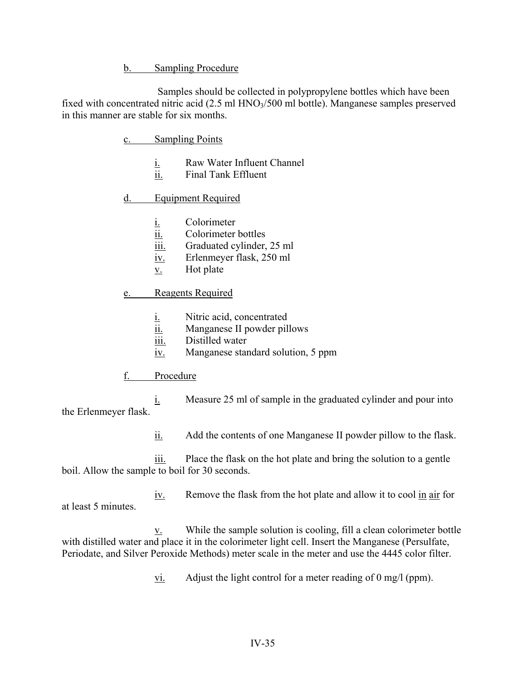#### b. Sampling Procedure

Samples should be collected in polypropylene bottles which have been fixed with concentrated nitric acid  $(2.5 \text{ ml HNO}_3/500 \text{ ml} )$  bottle). Manganese samples preserved in this manner are stable for six months.

- c. Sampling Points
	- i. Raw Water Influent Channel
	- ii. Final Tank Effluent
- d. Equipment Required
	- i. Colorimeter
		- ii. Colorimeter bottles
		- iii. Graduated cylinder, 25 ml
		- iv. Erlenmeyer flask, 250 ml
		- v. Hot plate
- e. Reagents Required
	- i. Nitric acid, concentrated
	- ii. Manganese II powder pillows
	- iii. Distilled water
	- iv. Manganese standard solution, 5 ppm

#### f. Procedure

 $i$ . Measure 25 ml of sample in the graduated cylinder and pour into the Erlenmeyer flask.

 $i$ <u>i</u>. Add the contents of one Manganese II powder pillow to the flask.

 $\frac{\text{iii}}{\text{iii}}$  Place the flask on the hot plate and bring the solution to a gentle boil. Allow the sample to boil for 30 seconds.

 $iv.$  Remove the flask from the hot plate and allow it to cool in air for at least 5 minutes.

v. While the sample solution is cooling, fill a clean colorimeter bottle with distilled water and place it in the colorimeter light cell. Insert the Manganese (Persulfate, Periodate, and Silver Peroxide Methods) meter scale in the meter and use the 4445 color filter.

vi. Adjust the light control for a meter reading of 0 mg/l (ppm).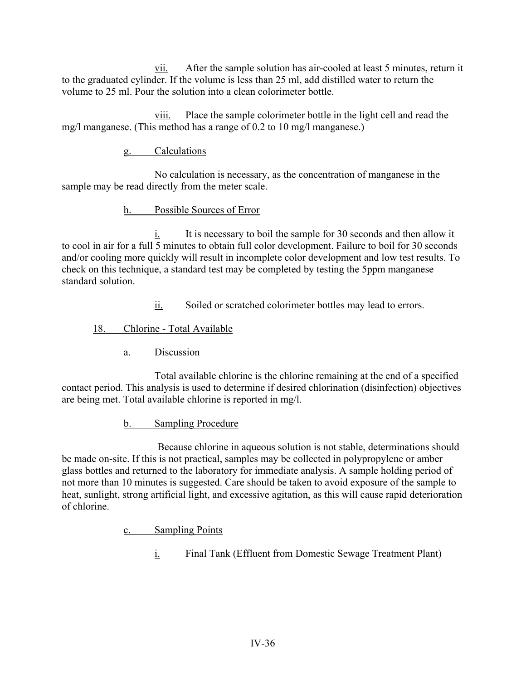vii. After the sample solution has air-cooled at least 5 minutes, return it to the graduated cylinder. If the volume is less than 25 ml, add distilled water to return the volume to 25 ml. Pour the solution into a clean colorimeter bottle.

viii. Place the sample colorimeter bottle in the light cell and read the mg/l manganese. (This method has a range of 0.2 to 10 mg/l manganese.)

## g. Calculations

No calculation is necessary, as the concentration of manganese in the sample may be read directly from the meter scale.

## h. Possible Sources of Error

i. It is necessary to boil the sample for 30 seconds and then allow it to cool in air for a full 5 minutes to obtain full color development. Failure to boil for 30 seconds and/or cooling more quickly will result in incomplete color development and low test results. To check on this technique, a standard test may be completed by testing the 5ppm manganese standard solution.

ii. Soiled or scratched colorimeter bottles may lead to errors.

# 18. Chlorine - Total Available

a. Discussion

Total available chlorine is the chlorine remaining at the end of a specified contact period. This analysis is used to determine if desired chlorination (disinfection) objectives are being met. Total available chlorine is reported in mg/l.

b. Sampling Procedure

Because chlorine in aqueous solution is not stable, determinations should be made on-site. If this is not practical, samples may be collected in polypropylene or amber glass bottles and returned to the laboratory for immediate analysis. A sample holding period of not more than 10 minutes is suggested. Care should be taken to avoid exposure of the sample to heat, sunlight, strong artificial light, and excessive agitation, as this will cause rapid deterioration of chlorine.

c. Sampling Points

i. Final Tank (Effluent from Domestic Sewage Treatment Plant)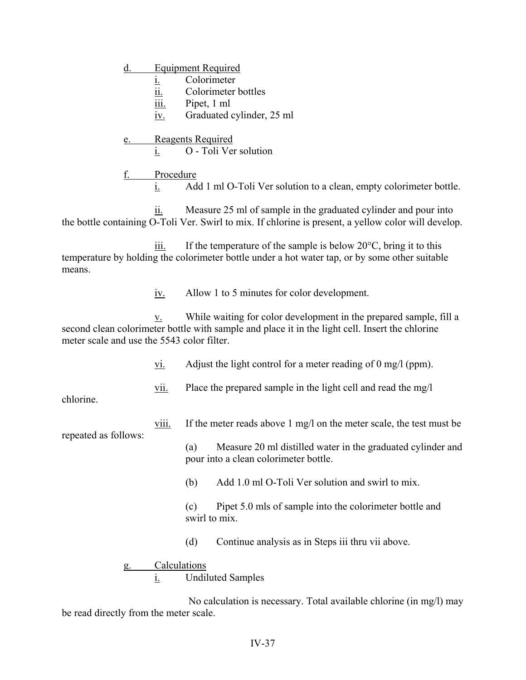d. Equipment Required

i. Colorimeter

ii. Colorimeter bottles

iii. Pipet, 1 ml

iv. Graduated cylinder, 25 ml

e. Reagents Required i. O - Toli Ver solution

f. Procedure Add 1 ml O-Toli Ver solution to a clean, empty colorimeter bottle.

 $i$ <u>i</u>. Measure 25 ml of sample in the graduated cylinder and pour into the bottle containing O-Toli Ver. Swirl to mix. If chlorine is present, a yellow color will develop.

iii. If the temperature of the sample is below  $20^{\circ}$ C, bring it to this temperature by holding the colorimeter bottle under a hot water tap, or by some other suitable means.

iv. Allow 1 to 5 minutes for color development.

v. While waiting for color development in the prepared sample, fill a second clean colorimeter bottle with sample and place it in the light cell. Insert the chlorine meter scale and use the 5543 color filter.

- vi. Adjust the light control for a meter reading of 0 mg/l (ppm).
- vii. Place the prepared sample in the light cell and read the mg/l

chlorine.

viii. If the meter reads above 1 mg/l on the meter scale, the test must be repeated as follows:

(a) Measure 20 ml distilled water in the graduated cylinder and pour into a clean colorimeter bottle.

(b) Add 1.0 ml O-Toli Ver solution and swirl to mix.

(c) Pipet 5.0 mls of sample into the colorimeter bottle and swirl to mix.

(d) Continue analysis as in Steps iii thru vii above.

g. Calculations

Undiluted Samples

No calculation is necessary. Total available chlorine (in mg/l) may be read directly from the meter scale.